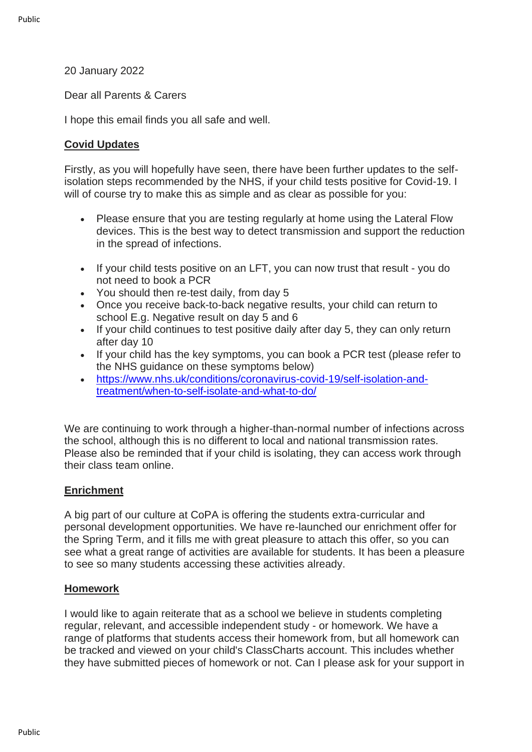### 20 January 2022

Dear all Parents & Carers

I hope this email finds you all safe and well.

# **Covid Updates**

Firstly, as you will hopefully have seen, there have been further updates to the selfisolation steps recommended by the NHS, if your child tests positive for Covid-19. I will of course try to make this as simple and as clear as possible for you:

- Please ensure that you are testing regularly at home using the Lateral Flow devices. This is the best way to detect transmission and support the reduction in the spread of infections.
- If your child tests positive on an LFT, you can now trust that result you do not need to book a PCR
- You should then re-test daily, from day 5
- Once you receive back-to-back negative results, your child can return to school E.g. Negative result on day 5 and 6
- If your child continues to test positive daily after day 5, they can only return after day 10
- If your child has the key symptoms, you can book a PCR test (please refer to the NHS guidance on these symptoms below)
- [https://www.nhs.uk/conditions/coronavirus-covid-19/self-isolation-and](https://eur01.safelinks.protection.outlook.com/?url=http%3A%2F%2Femail.groupcallalert.com%2Fls%2Fclick%3Fupn%3DQrOBJcca7DQpcdTvZvGK8UOl6KSJAUwW8gARpvqYAQ3ZoF8QziEZdS-2B5nPKXOIvQeypR6KZMnDAdGEG8r4-2BTeAu72D8SPugc7trxvvFp-2FHgktz8yS-2Bi-2Bn1N0qgudKMtDe2FBsaU9bvR-2ByfaAm16-2Fzyw0Hukbz31oAX4pTKsLW-2BM-3DcvXK_7ly8V3WGHVLWVL0T-2FPGgZCp4IDQyJNtfyv-2FZ0g1MqbXPq0EUVbggHg-2F9Bk1EEZbwXpVOTywhFX3W9vS29UyEFh4u1CPhFanOhbWzhDb1Hi5cBhFW8HzS0b3BXBj1wg8AzqjoAM0Wo8enZTtTRCJWzHWNRIg-2BolMfSkniSYXWvH-2B83Uj5ytY3IRJqHjlZmXoxM43xrlm3JNotWqF-2B1odbni2NQi-2Ff9oJS4tbTZpXmhgbeWajLK6QIzN8oDdcjTJn1t0K-2BnF10YdXF760i6n0d9k-2FrqFSsCwih92dJugsxkIa6e2ocDNA3j9C3k4jlaepyL9CWfLCk-2B6nXpJS4fC9zOt99q7W2GYKhe7OhTiyWJqXbqmjnLgJzwXeCtjadA-2FumZOdW-2Bxu4ivOwXEQh8aTe792IYY9zyBayTFtCxI8m4TA-3D&data=04%7C01%7Calauch%40cityofpeterboroughacademy.org%7C536bf2f766674e93a78f08d9db5ac639%7Ca091745ab7d84d7ab2a61359053d4510%7C0%7C0%7C637782005191441091%7CUnknown%7CTWFpbGZsb3d8eyJWIjoiMC4wLjAwMDAiLCJQIjoiV2luMzIiLCJBTiI6Ik1haWwiLCJXVCI6Mn0%3D%7C3000&sdata=sXks2NzhO8uWTlScKiEWTBIH8H50p2S0Oc2MOXgDv5M%3D&reserved=0)[treatment/when-to-self-isolate-and-what-to-do/](https://eur01.safelinks.protection.outlook.com/?url=http%3A%2F%2Femail.groupcallalert.com%2Fls%2Fclick%3Fupn%3DQrOBJcca7DQpcdTvZvGK8UOl6KSJAUwW8gARpvqYAQ3ZoF8QziEZdS-2B5nPKXOIvQeypR6KZMnDAdGEG8r4-2BTeAu72D8SPugc7trxvvFp-2FHgktz8yS-2Bi-2Bn1N0qgudKMtDe2FBsaU9bvR-2ByfaAm16-2Fzyw0Hukbz31oAX4pTKsLW-2BM-3DcvXK_7ly8V3WGHVLWVL0T-2FPGgZCp4IDQyJNtfyv-2FZ0g1MqbXPq0EUVbggHg-2F9Bk1EEZbwXpVOTywhFX3W9vS29UyEFh4u1CPhFanOhbWzhDb1Hi5cBhFW8HzS0b3BXBj1wg8AzqjoAM0Wo8enZTtTRCJWzHWNRIg-2BolMfSkniSYXWvH-2B83Uj5ytY3IRJqHjlZmXoxM43xrlm3JNotWqF-2B1odbni2NQi-2Ff9oJS4tbTZpXmhgbeWajLK6QIzN8oDdcjTJn1t0K-2BnF10YdXF760i6n0d9k-2FrqFSsCwih92dJugsxkIa6e2ocDNA3j9C3k4jlaepyL9CWfLCk-2B6nXpJS4fC9zOt99q7W2GYKhe7OhTiyWJqXbqmjnLgJzwXeCtjadA-2FumZOdW-2Bxu4ivOwXEQh8aTe792IYY9zyBayTFtCxI8m4TA-3D&data=04%7C01%7Calauch%40cityofpeterboroughacademy.org%7C536bf2f766674e93a78f08d9db5ac639%7Ca091745ab7d84d7ab2a61359053d4510%7C0%7C0%7C637782005191441091%7CUnknown%7CTWFpbGZsb3d8eyJWIjoiMC4wLjAwMDAiLCJQIjoiV2luMzIiLCJBTiI6Ik1haWwiLCJXVCI6Mn0%3D%7C3000&sdata=sXks2NzhO8uWTlScKiEWTBIH8H50p2S0Oc2MOXgDv5M%3D&reserved=0)

We are continuing to work through a higher-than-normal number of infections across the school, although this is no different to local and national transmission rates. Please also be reminded that if your child is isolating, they can access work through their class team online.

## **Enrichment**

A big part of our culture at CoPA is offering the students extra-curricular and personal development opportunities. We have re-launched our enrichment offer for the Spring Term, and it fills me with great pleasure to attach this offer, so you can see what a great range of activities are available for students. It has been a pleasure to see so many students accessing these activities already.

### **Homework**

I would like to again reiterate that as a school we believe in students completing regular, relevant, and accessible independent study - or homework. We have a range of platforms that students access their homework from, but all homework can be tracked and viewed on your child's ClassCharts account. This includes whether they have submitted pieces of homework or not. Can I please ask for your support in